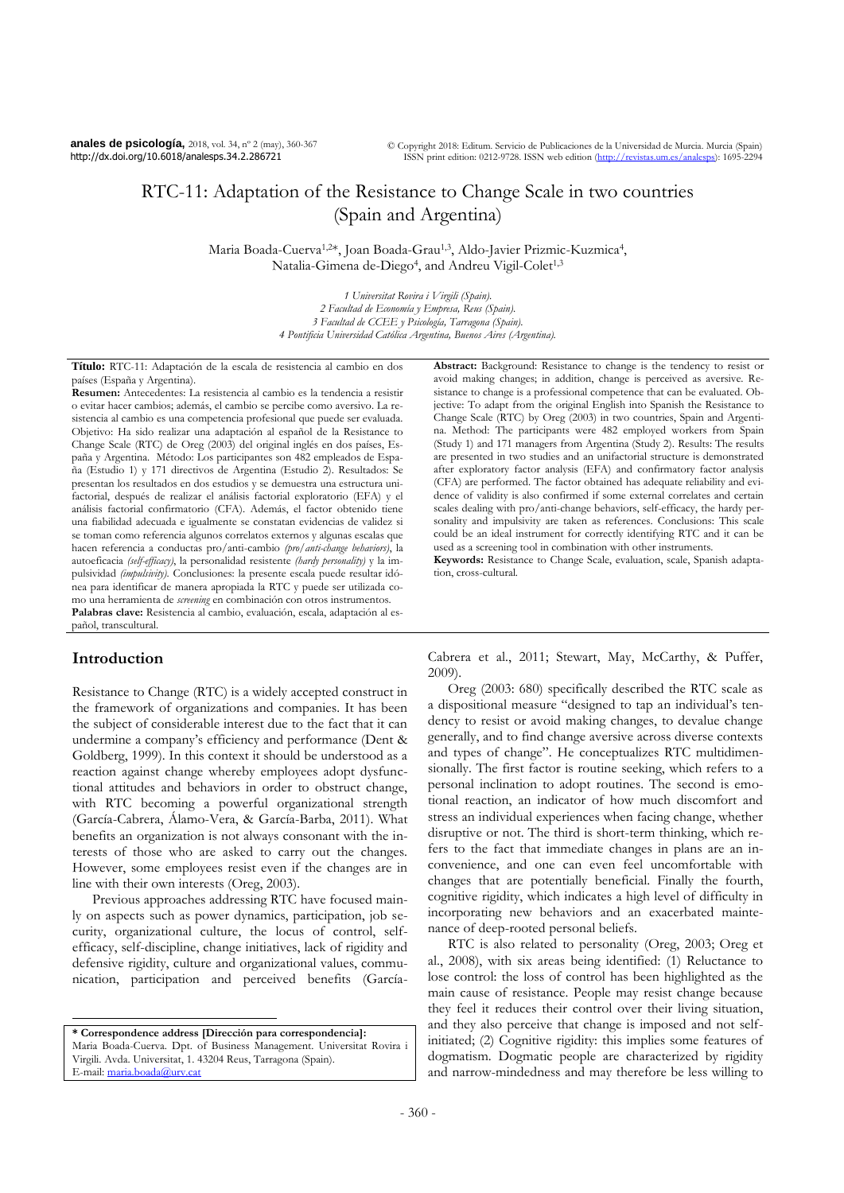**anales de psicología,** 2018, vol. 34, nº 2 (may), 360-367 http://dx.doi.org/10.6018/analesps.34.2.286721

# RTC-11: Adaptation of the Resistance to Change Scale in two countries (Spain and Argentina)

Maria Boada-Cuerva<sup>1,2\*</sup>, Joan Boada-Grau<sup>1,3</sup>, Aldo-Javier Prizmic-Kuzmica<sup>4</sup>, Natalia-Gimena de-Diego<sup>4</sup>, and Andreu Vigil-Colet<sup>1,3</sup>

> *1 Universitat Rovira i Virgili (Spain). 2 Facultad de Economía y Empresa, Reus (Spain). 3 Facultad de CCEE y Psicología, Tarragona (Spain). 4 Pontificia Universidad Católica Argentina, Buenos Aires (Argentina).*

**Título:** RTC-11: Adaptación de la escala de resistencia al cambio en dos países (España y Argentina).

**Resumen:** Antecedentes: La resistencia al cambio es la tendencia a resistir o evitar hacer cambios; además, el cambio se percibe como aversivo. La resistencia al cambio es una competencia profesional que puede ser evaluada. Objetivo: Ha sido realizar una adaptación al español de la Resistance to Change Scale (RTC) de Oreg (2003) del original inglés en dos países, España y Argentina. Método: Los participantes son 482 empleados de España (Estudio 1) y 171 directivos de Argentina (Estudio 2). Resultados: Se presentan los resultados en dos estudios y se demuestra una estructura unifactorial, después de realizar el análisis factorial exploratorio (EFA) y el análisis factorial confirmatorio (CFA). Además, el factor obtenido tiene una fiabilidad adecuada e igualmente se constatan evidencias de validez si se toman como referencia algunos correlatos externos y algunas escalas que hacen referencia a conductas pro/anti-cambio *(pro/anti-change behaviors)*, la autoeficacia *(self-efficacy)*, la personalidad resistente *(hardy personality)* y la impulsividad *(impulsivity).* Conclusiones: la presente escala puede resultar idónea para identificar de manera apropiada la RTC y puede ser utilizada como una herramienta de *screening* en combinación con otros instrumentos. **Palabras clave:** Resistencia al cambio, evaluación, escala, adaptación al español, transcultural.

# **Introduction**

-

Resistance to Change (RTC) is a widely accepted construct in the framework of organizations and companies. It has been the subject of considerable interest due to the fact that it can undermine a company's efficiency and performance (Dent & Goldberg, 1999). In this context it should be understood as a reaction against change whereby employees adopt dysfunctional attitudes and behaviors in order to obstruct change, with RTC becoming a powerful organizational strength (García-Cabrera, Álamo-Vera, & García-Barba, 2011). What benefits an organization is not always consonant with the interests of those who are asked to carry out the changes. However, some employees resist even if the changes are in line with their own interests (Oreg, 2003).

Previous approaches addressing RTC have focused mainly on aspects such as power dynamics, participation, job security, organizational culture, the locus of control, selfefficacy, self-discipline, change initiatives, lack of rigidity and defensive rigidity, culture and organizational values, communication, participation and perceived benefits (García**Abstract:** Background: Resistance to change is the tendency to resist or avoid making changes; in addition, change is perceived as aversive. Resistance to change is a professional competence that can be evaluated. Objective: To adapt from the original English into Spanish the Resistance to Change Scale (RTC) by Oreg (2003) in two countries, Spain and Argentina. Method: The participants were 482 employed workers from Spain (Study 1) and 171 managers from Argentina (Study 2). Results: The results are presented in two studies and an unifactorial structure is demonstrated after exploratory factor analysis (EFA) and confirmatory factor analysis (CFA) are performed. The factor obtained has adequate reliability and evidence of validity is also confirmed if some external correlates and certain scales dealing with pro/anti-change behaviors, self-efficacy, the hardy personality and impulsivity are taken as references. Conclusions: This scale could be an ideal instrument for correctly identifying RTC and it can be used as a screening tool in combination with other instruments.

**Keywords:** Resistance to Change Scale, evaluation, scale, Spanish adaptation, cross-cultural.

Cabrera et al., 2011; Stewart, May, McCarthy, & Puffer, 2009).

Oreg (2003: 680) specifically described the RTC scale as a dispositional measure "designed to tap an individual's tendency to resist or avoid making changes, to devalue change generally, and to find change aversive across diverse contexts and types of change". He conceptualizes RTC multidimensionally. The first factor is routine seeking, which refers to a personal inclination to adopt routines. The second is emotional reaction, an indicator of how much discomfort and stress an individual experiences when facing change, whether disruptive or not. The third is short-term thinking, which refers to the fact that immediate changes in plans are an inconvenience, and one can even feel uncomfortable with changes that are potentially beneficial. Finally the fourth, cognitive rigidity, which indicates a high level of difficulty in incorporating new behaviors and an exacerbated maintenance of deep-rooted personal beliefs.

RTC is also related to personality (Oreg, 2003; Oreg et al., 2008), with six areas being identified: (1) Reluctance to lose control: the loss of control has been highlighted as the main cause of resistance. People may resist change because they feel it reduces their control over their living situation, and they also perceive that change is imposed and not selfinitiated; (2) Cognitive rigidity: this implies some features of dogmatism. Dogmatic people are characterized by rigidity and narrow-mindedness and may therefore be less willing to

**<sup>\*</sup> Correspondence address [Dirección para correspondencia]:** Maria Boada-Cuerva. Dpt. of Business Management. Universitat Rovira i Virgili. Avda. Universitat, 1. 43204 Reus, Tarragona (Spain). E-mail[: maria.boada@urv.cat](mailto:maria.boada@urv.cat)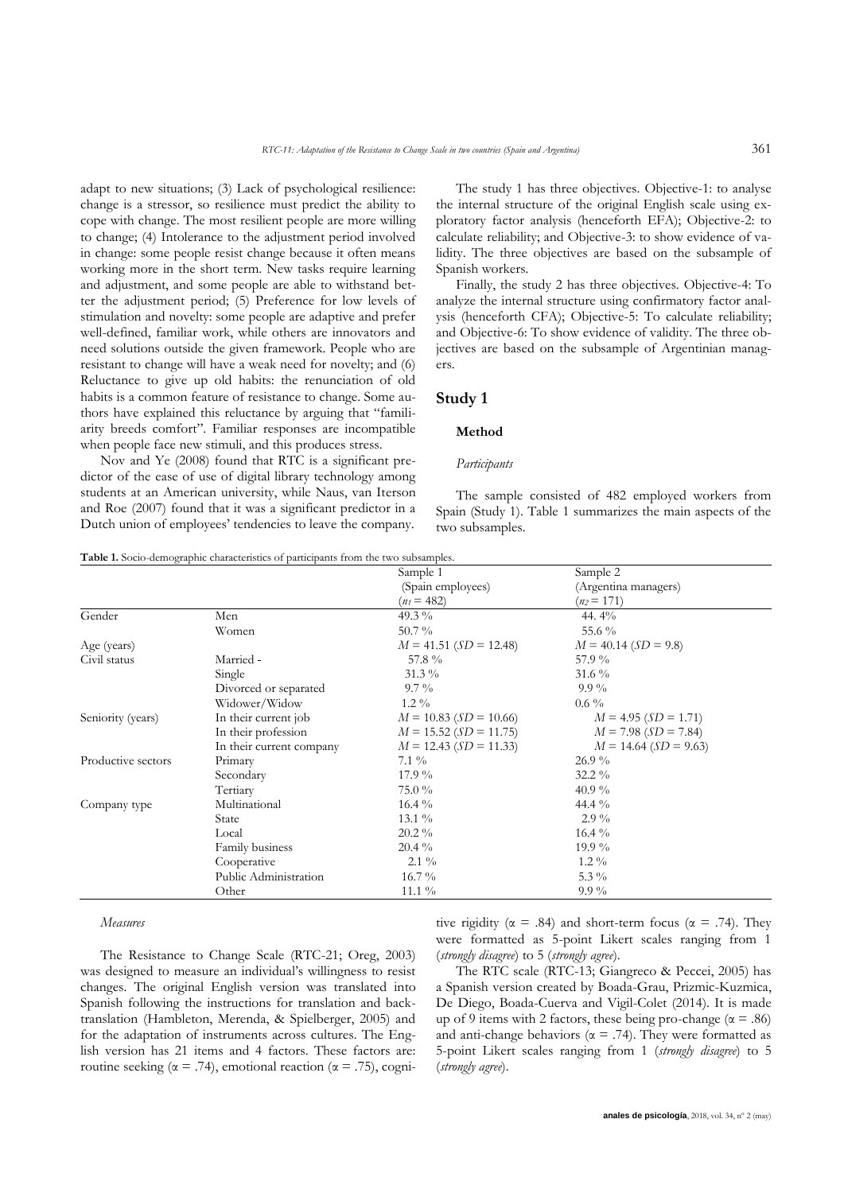adapt to new situations; (3) Lack of psychological resilience: change is a stressor, so resilience must predict the ability to cope with change. The most resilient people are more willing to change; (4) Intolerance to the adjustment period involved in change: some people resist change because it often means working more in the short term. New tasks require learning and adjustment, and some people are able to withstand better the adjustment period; (5) Preference for low levels of stimulation and novelty: some people are adaptive and prefer well-defined, familiar work, while others are innovators and need solutions outside the given framework. People who are resistant to change will have a weak need for novelty; and (6) Reluctance to give up old habits: the renunciation of old habits is a common feature of resistance to change. Some authors have explained this reluctance by arguing that "familiarity breeds comfort". Familiar responses are incompatible when people face new stimuli, and this produces stress.

Nov and Ye (2008) found that RTC is a significant predictor of the ease of use of digital library technology among students at an American university, while Naus, van Iterson and Roe (2007) found that it was a significant predictor in a Dutch union of employees' tendencies to leave the company.

The study 1 has three objectives. Objective-1: to analyse the internal structure of the original English scale using exploratory factor analysis (henceforth EFA); Objective-2: to calculate reliability; and Objective-3: to show evidence of validity. The three objectives are based on the subsample of Spanish workers.

Finally, the study 2 has three objectives. Objective-4: To analyze the internal structure using confirmatory factor analysis (henceforth CFA); Objective-5: To calculate reliability; and Objective-6: To show evidence of validity. The three objectives are based on the subsample of Argentinian managers.

## **Study 1**

### **Method**

#### *Participants*

The sample consisted of 482 employed workers from Spain (Study 1). Table 1 summarizes the main aspects of the two subsamples.

|                    |                          | Sample 1                 | Sample 2                |
|--------------------|--------------------------|--------------------------|-------------------------|
|                    |                          | (Spain employees)        | (Argentina managers)    |
|                    |                          | $(n_1 = 482)$            | $(n_2 = 171)$           |
| Gender             | Men                      | 49.3 %                   | 44.4%                   |
|                    | Women                    | $50.7\%$                 | 55.6 %                  |
| Age (years)        |                          | $M = 41.51$ (SD = 12.48) | $M = 40.14$ (SD = 9.8)  |
| Civil status       | Married -                | 57.8%                    | 57.9 %                  |
|                    | Single                   | $31.3\%$                 | $31.6\%$                |
|                    | Divorced or separated    | $9.7\%$                  | $9.9\%$                 |
|                    | Widower/Widow            | $1.2\%$                  | $0.6\%$                 |
| Seniority (years)  | In their current job     | $M = 10.83$ (SD = 10.66) | $M = 4.95 (SD = 1.71)$  |
|                    | In their profession      | $M = 15.52$ (SD = 11.75) | $M = 7.98$ (SD = 7.84)  |
|                    | In their current company | $M = 12.43$ (SD = 11.33) | $M = 14.64$ (SD = 9.63) |
| Productive sectors | Primary                  | $7.1\%$                  | $26.9\%$                |
|                    | Secondary                | $17.9\%$                 | $32.2\%$                |
|                    | Tertiary                 | 75.0 %                   | 40.9 $\%$               |
| Company type       | Multinational            | $16.4\%$                 | 44.4 $\%$               |
|                    | State                    | $13.1\%$                 | $2.9\%$                 |
|                    | Local                    | $20.2\%$                 | $16.4\%$                |
|                    | Family business          | $20.4\%$                 | $19.9\%$                |
|                    | Cooperative              | $2.1\%$                  | $1.2\%$                 |
|                    | Public Administration    | $16.7\%$                 | 5.3 $\%$                |
|                    | Other                    | $11.1\%$                 | $9.9\%$                 |

# *Measures*

The Resistance to Change Scale (RTC-21; Oreg, 2003) was designed to measure an individual's willingness to resist changes. The original English version was translated into Spanish following the instructions for translation and backtranslation (Hambleton, Merenda, & Spielberger, 2005) and for the adaptation of instruments across cultures. The English version has 21 items and 4 factors. These factors are: routine seeking ( $\alpha = .74$ ), emotional reaction ( $\alpha = .75$ ), cognitive rigidity ( $\alpha = .84$ ) and short-term focus ( $\alpha = .74$ ). They were formatted as 5-point Likert scales ranging from 1 (*strongly disagree*) to 5 (*strongly agree*).

The RTC scale (RTC-13; Giangreco & Peccei, 2005) has a Spanish version created by Boada-Grau, Prizmic-Kuzmica, De Diego, Boada-Cuerva and Vigil-Colet (2014). It is made up of 9 items with 2 factors, these being pro-change ( $\alpha$  = .86) and anti-change behaviors ( $\alpha$  = .74). They were formatted as 5-point Likert scales ranging from 1 (*strongly disagree*) to 5 (*strongly agree*).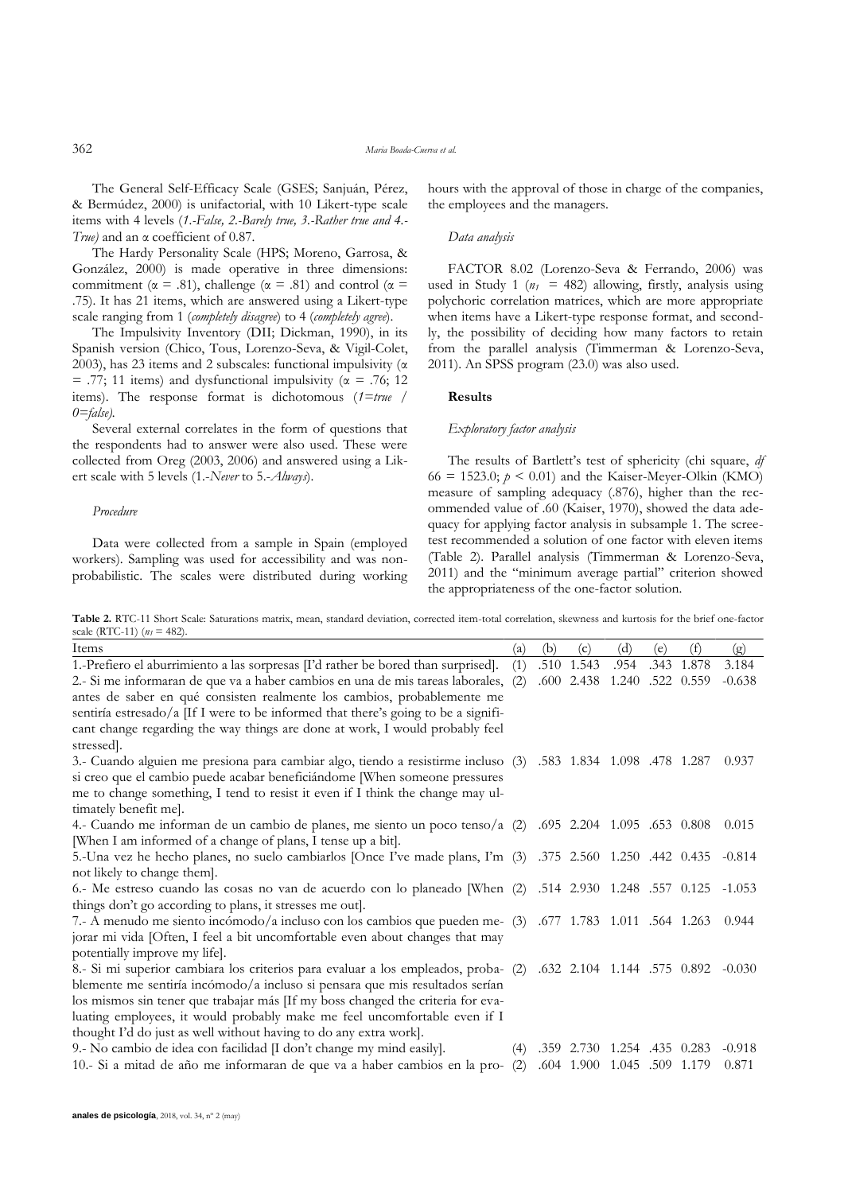The General Self-Efficacy Scale (GSES; Sanjuán, Pérez, & Bermúdez, 2000) is unifactorial, with 10 Likert-type scale items with 4 levels (*1.-False, 2.-Barely true, 3.-Rather true and 4.- True)* and an α coefficient of 0.87.

The Hardy Personality Scale (HPS; Moreno, Garrosa, & González, 2000) is made operative in three dimensions: commitment ( $\alpha = .81$ ), challenge ( $\alpha = .81$ ) and control ( $\alpha =$ .75). It has 21 items, which are answered using a Likert-type scale ranging from 1 (*completely disagree*) to 4 (*completely agree*).

The Impulsivity Inventory (DII; Dickman, 1990), in its Spanish version (Chico, Tous, Lorenzo-Seva, & Vigil-Colet, 2003), has 23 items and 2 subscales: functional impulsivity ( $\alpha$  $=$  .77; 11 items) and dysfunctional impulsivity ( $\alpha$  = .76; 12 items). The response format is dichotomous (*1=true / 0=false).*

Several external correlates in the form of questions that the respondents had to answer were also used. These were collected from Oreg (2003, 2006) and answered using a Likert scale with 5 levels (1.-*Never* to 5.-*Always*).

#### *Procedure*

Data were collected from a sample in Spain (employed workers). Sampling was used for accessibility and was nonprobabilistic. The scales were distributed during working hours with the approval of those in charge of the companies, the employees and the managers.

#### *Data analysis*

FACTOR 8.02 (Lorenzo-Seva & Ferrando, 2006) was used in Study 1 ( $n_1$  = 482) allowing, firstly, analysis using polychoric correlation matrices, which are more appropriate when items have a Likert-type response format, and secondly, the possibility of deciding how many factors to retain from the parallel analysis (Timmerman & Lorenzo-Seva, 2011). An SPSS program (23.0) was also used.

# **Results**

## *Exploratory factor analysis*

The results of Bartlett's test of sphericity (chi square, *df*   $66 = 1523.0$ ;  $p \le 0.01$ ) and the Kaiser-Meyer-Olkin (KMO) measure of sampling adequacy (.876), higher than the recommended value of .60 (Kaiser, 1970), showed the data adequacy for applying factor analysis in subsample 1. The screetest recommended a solution of one factor with eleven items (Table 2). Parallel analysis (Timmerman & Lorenzo-Seva, 2011) and the "minimum average partial" criterion showed the appropriateness of the one-factor solution.

**Table 2.** RTC-11 Short Scale: Saturations matrix, mean, standard deviation, corrected item-total correlation, skewness and kurtosis for the brief one-factor scale (RTC-11)  $(n_1 = 482)$ .

| Items                                                                                                             | (a) | (b) | (c)        | (d)                         | (e) | (f)                                | (g)      |
|-------------------------------------------------------------------------------------------------------------------|-----|-----|------------|-----------------------------|-----|------------------------------------|----------|
| 1.-Prefiero el aburrimiento a las sorpresas [I'd rather be bored than surprised].                                 | (1) |     | .510 1.543 | .954                        |     | .343 1.878                         | 3.184    |
| 2.- Si me informaran de que va a haber cambios en una de mis tareas laborales, (2)                                |     |     |            | .600 2.438 1.240 .522 0.559 |     |                                    | $-0.638$ |
| antes de saber en qué consisten realmente los cambios, probablemente me                                           |     |     |            |                             |     |                                    |          |
| sentiría estresado/a [If I were to be informed that there's going to be a signifi-                                |     |     |            |                             |     |                                    |          |
| cant change regarding the way things are done at work, I would probably feel                                      |     |     |            |                             |     |                                    |          |
| stressed.                                                                                                         |     |     |            |                             |     |                                    |          |
| 3.4 1.098 .478 1.287 631 .583 1.834 1.098 .478 1.287                                                              |     |     |            |                             |     |                                    | 0.937    |
| si creo que el cambio puede acabar beneficiándome [When someone pressures                                         |     |     |            |                             |     |                                    |          |
| me to change something, I tend to resist it even if I think the change may ul-                                    |     |     |            |                             |     |                                    |          |
| timately benefit me].                                                                                             |     |     |            |                             |     |                                    |          |
| 4. Cuando me informan de un cambio de planes, me siento un poco tenso/a (2) .695 2.204 1.095 .653 0.808           |     |     |            |                             |     |                                    | 0.015    |
| [When I am informed of a change of plans, I tense up a bit].                                                      |     |     |            |                             |     |                                    |          |
| 5.-Una vez he hecho planes, no suelo cambiarlos [Once I've made plans, I'm (3) .375 2.560 1.250 .442 0.435 -0.814 |     |     |            |                             |     |                                    |          |
| not likely to change them].                                                                                       |     |     |            |                             |     |                                    |          |
| 6.- Me estreso cuando las cosas no van de acuerdo con lo planeado [When (2) .514 2.930 1.248 .557 0.125 -1.053    |     |     |            |                             |     |                                    |          |
| things don't go according to plans, it stresses me out].                                                          |     |     |            |                             |     |                                    |          |
| 7.- A menudo me siento incómodo/a incluso con los cambios que pueden me- (3) .677 1.783 1.011 .564 1.263 0.944    |     |     |            |                             |     |                                    |          |
| jorar mi vida [Often, I feel a bit uncomfortable even about changes that may                                      |     |     |            |                             |     |                                    |          |
| potentially improve my life].                                                                                     |     |     |            |                             |     |                                    |          |
| 8.- Si mi superior cambiara los criterios para evaluar a los empleados, proba- (2)                                |     |     |            |                             |     | .632 2.104 1.144 .575 0.892 -0.030 |          |
| blemente me sentiría incómodo/a incluso si pensara que mis resultados serían                                      |     |     |            |                             |     |                                    |          |
| los mismos sin tener que trabajar más [If my boss changed the criteria for eva-                                   |     |     |            |                             |     |                                    |          |
| luating employees, it would probably make me feel uncomfortable even if I                                         |     |     |            |                             |     |                                    |          |
| thought I'd do just as well without having to do any extra work].                                                 |     |     |            |                             |     |                                    |          |
| 9.- No cambio de idea con facilidad [I don't change my mind easily].                                              | (4) |     |            | .359 2.730 1.254 .435 0.283 |     |                                    | $-0.918$ |
| 10.- Si a mitad de año me informaran de que va a haber cambios en la pro-                                         | (2) |     |            | .604 1.900 1.045 .509 1.179 |     |                                    | 0.871    |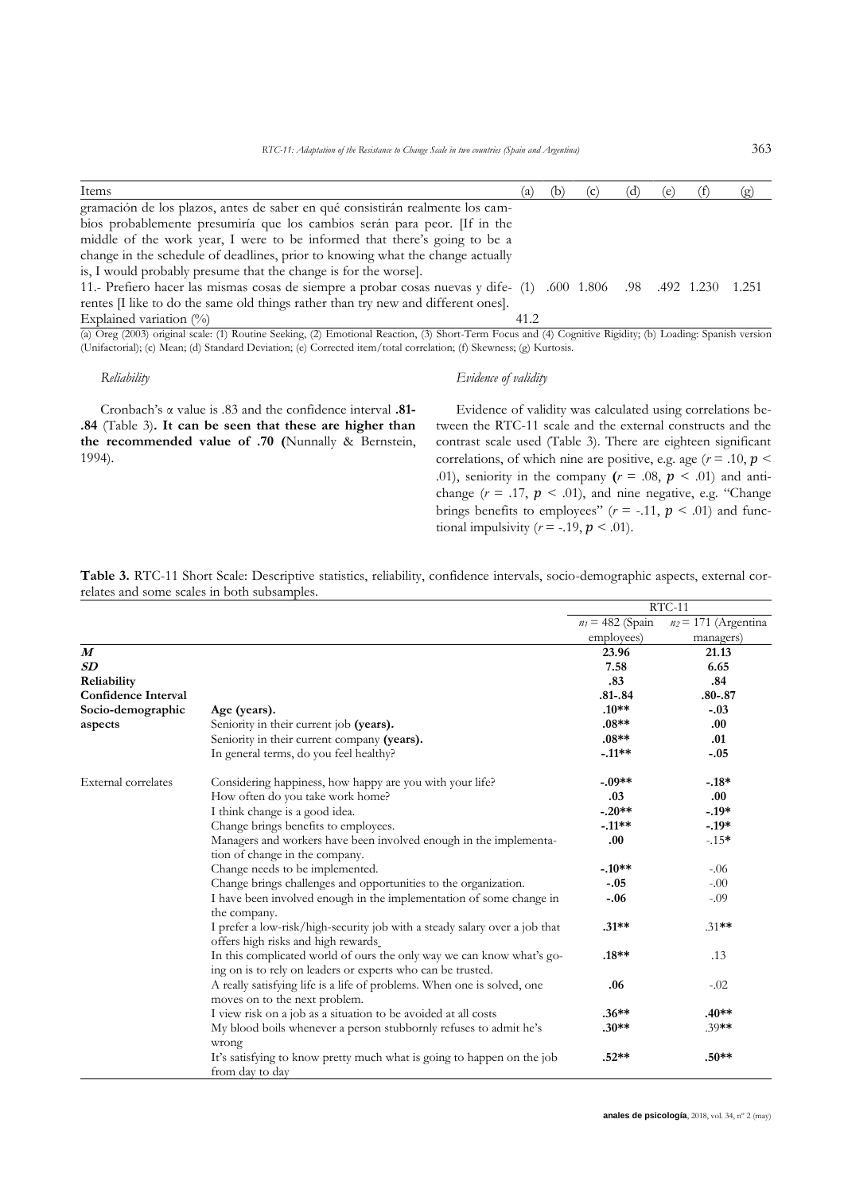| Items                                                                                                 | a)   | (b) |  | (e) | g |
|-------------------------------------------------------------------------------------------------------|------|-----|--|-----|---|
| gramación de los plazos, antes de saber en qué consistirán realmente los cam-                         |      |     |  |     |   |
| bios probablemente presumiría que los cambios serán para peor. If in the                              |      |     |  |     |   |
| middle of the work year, I were to be informed that there's going to be a                             |      |     |  |     |   |
| change in the schedule of deadlines, prior to knowing what the change actually                        |      |     |  |     |   |
| is, I would probably presume that the change is for the worse.                                        |      |     |  |     |   |
| 1.251 1.230 1.251 1.230 1.251 1.000 1.806 1.806 1.802 1.230 1.251 1.251 1.251 1.251 1.251 1.251 1.251 |      |     |  |     |   |
| rentes II like to do the same old things rather than try new and different ones.                      |      |     |  |     |   |
| Explained variation $(\%)$                                                                            | 41.2 |     |  |     |   |

(a) Oreg (2003) original scale: (1) Routine Seeking, (2) Emotional Reaction, (3) Short-Term Focus and (4) Cognitive Rigidity; (b) Loading: Spanish version (Unifactorial); (c) Mean; (d) Standard Deviation; (e) Corrected item/total correlation; (f) Skewness; (g) Kurtosis.

# *Reliability*

Cronbach's α value is .83 and the confidence interval **.81- .84** (Table 3)**. It can be seen that these are higher than the recommended value of .70 (**Nunnally & Bernstein, 1994).

# *Evidence of validity*

Evidence of validity was calculated using correlations between the RTC-11 scale and the external constructs and the contrast scale used (Table 3). There are eighteen significant correlations, of which nine are positive, e.g. age ( $r = .10$ ,  $p <$ .01), seniority in the company  $(r = .08, p < .01)$  and antichange  $(r = .17, p < .01)$ , and nine negative, e.g. "Change brings benefits to employees"  $(r = -.11, p < .01)$  and functional impulsivity  $(r = -.19, p < .01)$ .

| Table 3. RTC-11 Short Scale: Descriptive statistics, reliability, confidence intervals, socio-demographic aspects, external cor- |  |  |  |  |  |
|----------------------------------------------------------------------------------------------------------------------------------|--|--|--|--|--|
| relates and some scales in both subsamples.                                                                                      |  |  |  |  |  |

|                            |                                                                                                                  | $RTC-11$           |                        |  |  |
|----------------------------|------------------------------------------------------------------------------------------------------------------|--------------------|------------------------|--|--|
|                            |                                                                                                                  | $n_1 = 482$ (Spain | $n_2$ = 171 (Argentina |  |  |
|                            |                                                                                                                  | employees)         | managers)              |  |  |
| $\boldsymbol{M}$           |                                                                                                                  | 23.96              | 21.13                  |  |  |
| $\mathcal{S}\mathcal{D}$   |                                                                                                                  | 7.58               | 6.65                   |  |  |
| Reliability                |                                                                                                                  | .83                | .84                    |  |  |
| <b>Confidence Interval</b> |                                                                                                                  | $.81 - .84$        | $.80 - .87$            |  |  |
| Socio-demographic          | Age (years).                                                                                                     | $.10**$            | $-.03$                 |  |  |
| aspects                    | Seniority in their current job (years).                                                                          | $.08**$            | .00.                   |  |  |
|                            | Seniority in their current company (years).                                                                      | $.08**$            | .01                    |  |  |
|                            | In general terms, do you feel healthy?                                                                           | $-.11**$           | $-.05$                 |  |  |
| External correlates        | Considering happiness, how happy are you with your life?                                                         | $-.09**$           | $-.18*$                |  |  |
|                            | How often do you take work home?                                                                                 | .03                | .00.                   |  |  |
|                            | I think change is a good idea.                                                                                   | $-.20**$           | $-.19*$                |  |  |
|                            | Change brings benefits to employees.                                                                             | $-.11**$           | $-.19*$                |  |  |
|                            | Managers and workers have been involved enough in the implementa-                                                | .00.               | $-15*$                 |  |  |
|                            | tion of change in the company.                                                                                   |                    |                        |  |  |
|                            | Change needs to be implemented.                                                                                  | $-.10**$           | $-.06$                 |  |  |
|                            | Change brings challenges and opportunities to the organization.                                                  | $-.05$             | $-00$                  |  |  |
|                            | I have been involved enough in the implementation of some change in                                              | $-.06$             | $-0.09$                |  |  |
|                            | the company.                                                                                                     |                    |                        |  |  |
|                            | I prefer a low-risk/high-security job with a steady salary over a job that<br>offers high risks and high rewards | $.31**$            | $.31**$                |  |  |
|                            | In this complicated world of ours the only way we can know what's go-                                            | $.18**$            | .13                    |  |  |
|                            | ing on is to rely on leaders or experts who can be trusted.                                                      |                    |                        |  |  |
|                            | A really satisfying life is a life of problems. When one is solved, one<br>moves on to the next problem.         | .06                | $-.02$                 |  |  |
|                            | I view risk on a job as a situation to be avoided at all costs                                                   | $.36**$            | $.40**$                |  |  |
|                            | My blood boils whenever a person stubbornly refuses to admit he's                                                | $.30**$            | $.39**$                |  |  |
|                            | wrong                                                                                                            |                    |                        |  |  |
|                            | It's satisfying to know pretty much what is going to happen on the job<br>from day to day                        | $.52**$            | $.50**$                |  |  |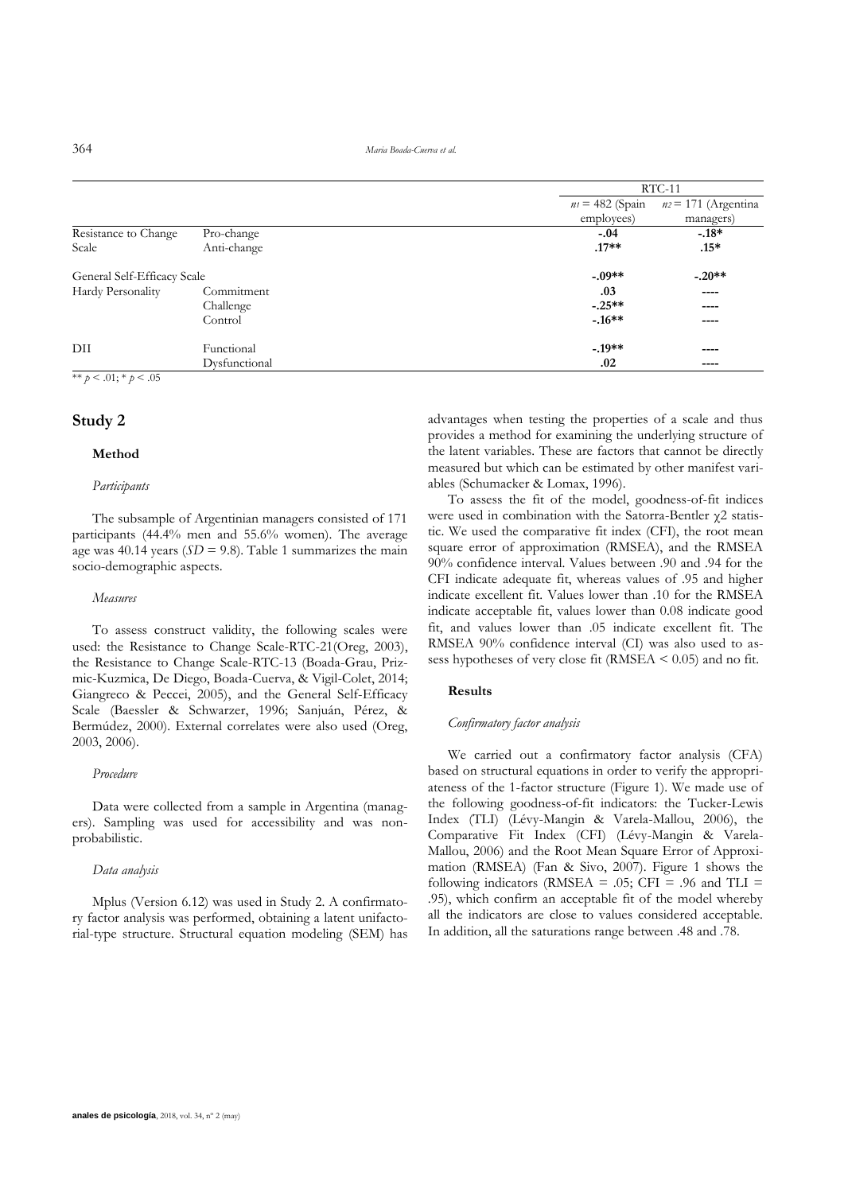364 *Maria Boada-Cuerva et al.*

|                             |               | $RTC-11$           |                        |  |  |
|-----------------------------|---------------|--------------------|------------------------|--|--|
|                             |               | $n_1 = 482$ (Spain | $n_2$ = 171 (Argentina |  |  |
|                             |               | employees)         | managers)              |  |  |
| Resistance to Change        | Pro-change    | $-.04$             | $-.18*$                |  |  |
| Scale                       | Anti-change   | $.17**$            | $.15*$                 |  |  |
| General Self-Efficacy Scale |               | $-.09**$           | $-.20**$               |  |  |
| Hardy Personality           | Commitment    | .03                | ----                   |  |  |
|                             | Challenge     | $-.25**$           | ----                   |  |  |
|                             | Control       | $-16**$            | ----                   |  |  |
| DII                         | Functional    | $-.19**$           | ----                   |  |  |
|                             | Dysfunctional | .02                | ----                   |  |  |
| ** $p < .01$ ; * $p < .05$  |               |                    |                        |  |  |

# **Study 2**

## **Method**

## *Participants*

The subsample of Argentinian managers consisted of 171 participants (44.4% men and 55.6% women). The average age was 40.14 years ( $SD = 9.8$ ). Table 1 summarizes the main socio-demographic aspects.

# *Measures*

To assess construct validity, the following scales were used: the Resistance to Change Scale-RTC-21(Oreg, 2003), the Resistance to Change Scale-RTC-13 (Boada-Grau, Prizmic-Kuzmica, De Diego, Boada-Cuerva, & Vigil-Colet, 2014; Giangreco & Peccei, 2005), and the General Self-Efficacy Scale (Baessler & Schwarzer, 1996; Sanjuán, Pérez, & Bermúdez, 2000). External correlates were also used (Oreg, 2003, 2006).

#### *Procedure*

Data were collected from a sample in Argentina (managers). Sampling was used for accessibility and was nonprobabilistic.

#### *Data analysis*

Mplus (Version 6.12) was used in Study 2. A confirmatory factor analysis was performed, obtaining a latent unifactorial-type structure. Structural equation modeling (SEM) has

advantages when testing the properties of a scale and thus provides a method for examining the underlying structure of the latent variables. These are factors that cannot be directly measured but which can be estimated by other manifest variables (Schumacker & Lomax, 1996).

To assess the fit of the model, goodness-of-fit indices were used in combination with the Satorra-Bentler χ2 statistic. We used the comparative fit index (CFI), the root mean square error of approximation (RMSEA), and the RMSEA 90% confidence interval. Values between .90 and .94 for the CFI indicate adequate fit, whereas values of .95 and higher indicate excellent fit. Values lower than .10 for the RMSEA indicate acceptable fit, values lower than 0.08 indicate good fit, and values lower than .05 indicate excellent fit. The RMSEA 90% confidence interval (CI) was also used to assess hypotheses of very close fit (RMSEA < 0.05) and no fit.

# **Results**

# *Confirmatory factor analysis*

We carried out a confirmatory factor analysis (CFA) based on structural equations in order to verify the appropriateness of the 1-factor structure (Figure 1). We made use of the following goodness-of-fit indicators: the Tucker-Lewis Index (TLI) (Lévy-Mangin & Varela-Mallou, 2006), the Comparative Fit Index (CFI) (Lévy-Mangin & Varela-Mallou, 2006) and the Root Mean Square Error of Approximation (RMSEA) (Fan & Sivo, 2007). Figure 1 shows the following indicators (RMSEA = .05; CFI = .96 and TLI = .95), which confirm an acceptable fit of the model whereby all the indicators are close to values considered acceptable. In addition, all the saturations range between .48 and .78.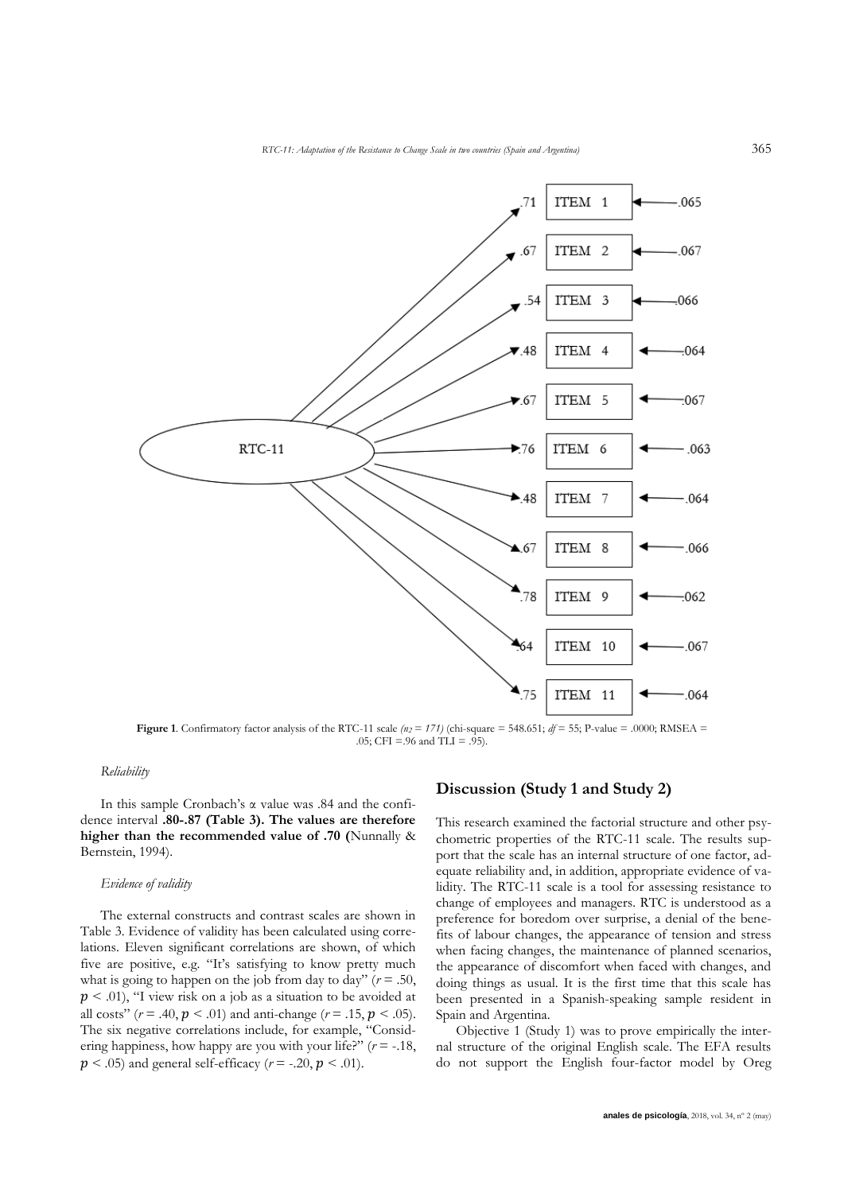

**Figure 1**. Confirmatory factor analysis of the RTC-11 scale  $(p_2 = 171)$  (chi-square = 548.651;  $df = 55$ ; P-value = .0000; RMSEA = .05; CFI = .96 and TLI = .95).

# *Reliability*

In this sample Cronbach's α value was .84 and the confidence interval **.80-.87 (Table 3). The values are therefore higher than the recommended value of .70 (**Nunnally & Bernstein, 1994).

# *Evidence of validity*

The external constructs and contrast scales are shown in Table 3. Evidence of validity has been calculated using correlations. Eleven significant correlations are shown, of which five are positive, e.g. "It's satisfying to know pretty much what is going to happen on the job from day to day"  $(r = .50, )$  $p < .01$ , "I view risk on a job as a situation to be avoided at all costs" ( $r = .40$ ,  $p < .01$ ) and anti-change ( $r = .15$ ,  $p < .05$ ). The six negative correlations include, for example, "Considering happiness, how happy are you with your life?"  $(r = -18,$  $p < .05$ ) and general self-efficacy ( $r = -.20$ ,  $p < .01$ ).

# **Discussion (Study 1 and Study 2)**

This research examined the factorial structure and other psychometric properties of the RTC-11 scale. The results support that the scale has an internal structure of one factor, adequate reliability and, in addition, appropriate evidence of validity. The RTC-11 scale is a tool for assessing resistance to change of employees and managers. RTC is understood as a preference for boredom over surprise, a denial of the benefits of labour changes, the appearance of tension and stress when facing changes, the maintenance of planned scenarios, the appearance of discomfort when faced with changes, and doing things as usual. It is the first time that this scale has been presented in a Spanish-speaking sample resident in Spain and Argentina.

Objective 1 (Study 1) was to prove empirically the internal structure of the original English scale. The EFA results do not support the English four-factor model by Oreg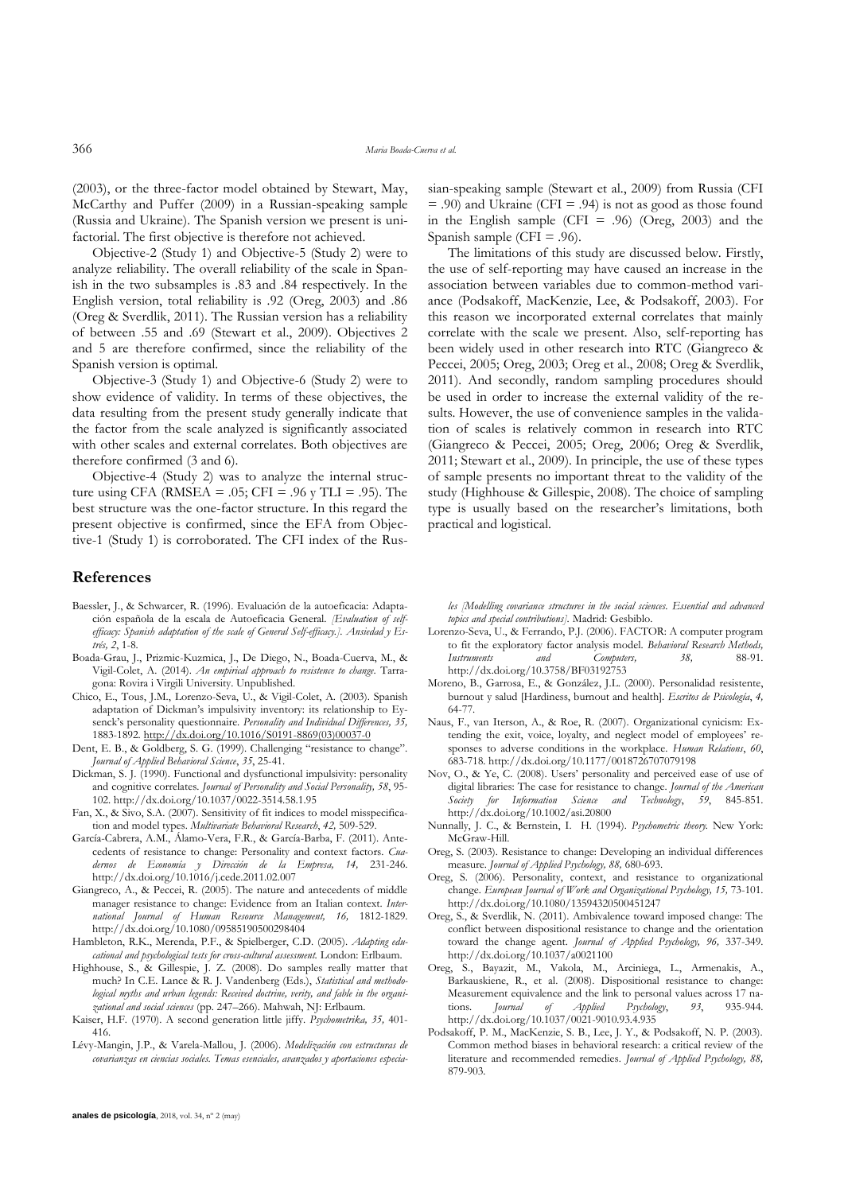(2003), or the three-factor model obtained by Stewart, May, McCarthy and Puffer (2009) in a Russian-speaking sample (Russia and Ukraine). The Spanish version we present is unifactorial. The first objective is therefore not achieved.

Objective-2 (Study 1) and Objective-5 (Study 2) were to analyze reliability. The overall reliability of the scale in Spanish in the two subsamples is .83 and .84 respectively. In the English version, total reliability is .92 (Oreg, 2003) and .86 (Oreg & Sverdlik, 2011). The Russian version has a reliability of between .55 and .69 (Stewart et al., 2009). Objectives 2 and 5 are therefore confirmed, since the reliability of the Spanish version is optimal.

Objective-3 (Study 1) and Objective-6 (Study 2) were to show evidence of validity. In terms of these objectives, the data resulting from the present study generally indicate that the factor from the scale analyzed is significantly associated with other scales and external correlates. Both objectives are therefore confirmed (3 and 6).

Objective-4 (Study 2) was to analyze the internal structure using CFA (RMSEA = .05; CFI = .96 y TLI = .95). The best structure was the one-factor structure. In this regard the present objective is confirmed, since the EFA from Objective-1 (Study 1) is corroborated. The CFI index of the Rus-

# **References**

- Baessler, J., & Schwarcer, R. (1996). Evaluación de la autoeficacia: Adaptación española de la escala de Autoeficacia General. *[Evaluation of selfefficacy: Spanish adaptation of the scale of General Self-efficacy.]. Ansiedad y Estrés, 2*, 1-8.
- Boada-Grau, J., Prizmic-Kuzmica, J., De Diego, N., Boada-Cuerva, M., & Vigil-Colet, A. (2014). *An empirical approach to resistence to change.* Tarragona: Rovira i Virgili University. Unpublished.
- Chico, E., Tous, J.M., Lorenzo-Seva, U., & Vigil-Colet, A. (2003). Spanish adaptation of Dickman's impulsivity inventory: its relationship to Eysenck's personality questionnaire. *Personality and Individual Differences, 35,*  1883-1892. [http://dx.doi.org/10.1016/S0191-8869\(03\)00037-0](http://dx.doi.org/10.1016/S0191-8869(03)00037-0)
- Dent, E. B., & Goldberg, S. G. (1999). Challenging "resistance to change". *Journal of Applied Behavioral Science*, *35*, 25-41.
- Dickman, S. J. (1990). Functional and dysfunctional impulsivity: personality and cognitive correlates. *Journal of Personality and Social Personality, 58*, 95- 102[. http://dx.doi.org/10.1037/0022-3514.58.1.95](http://dx.doi.org/10.1037/0022-3514.58.1.95)
- Fan, X., & Sivo, S.A. (2007). Sensitivity of fit indices to model misspecification and model types. *Multivariate Behavioral Research*, *42,* 509-529.
- García-Cabrera, A.M., Álamo-Vera, F.R., & García-Barba, F. (2011). Antecedents of resistance to change: Personality and context factors. *Cuadernos de Economía y Dirección de la Empresa, 14,* 231-246. http://dx.doi.org/10.1016/j.cede.2011.02.007
- Giangreco, A., & Peccei, R. (2005). The nature and antecedents of middle manager resistance to change: Evidence from an Italian context. *International Journal of Human Resource Management, 16,* 1812-1829. <http://dx.doi.org/10.1080/09585190500298404>
- Hambleton, R.K., Merenda, P.F., & Spielberger, C.D. (2005). *Adapting educational and psychological tests for cross-cultural assessment.* London: Erlbaum.
- Highhouse, S., & Gillespie, J. Z. (2008). Do samples really matter that much? In C.E. Lance & R. J. Vandenberg (Eds.), *Statistical and methodological myths and urban legends: Received doctrine, verity, and fable in the organizational and social sciences* (pp. 247–266). Mahwah, NJ: Erlbaum.
- Kaiser, H.F. (1970). A second generation little jiffy. *Psychometrika, 35,* 401- 416.
- Lévy-Mangin, J.P., & Varela-Mallou, J. (2006). *Modelización con estructuras de covarianzas en ciencias sociales. Temas esenciales, avanzados y aportaciones especia-*

sian-speaking sample (Stewart et al., 2009) from Russia (CFI  $=$  .90) and Ukraine (CFI  $=$  .94) is not as good as those found in the English sample (CFI = .96) (Oreg, 2003) and the Spanish sample (CFI = .96).

The limitations of this study are discussed below. Firstly, the use of self-reporting may have caused an increase in the association between variables due to common-method variance (Podsakoff, MacKenzie, Lee, & Podsakoff, 2003). For this reason we incorporated external correlates that mainly correlate with the scale we present. Also, self-reporting has been widely used in other research into RTC (Giangreco & Peccei, 2005; Oreg, 2003; Oreg et al., 2008; Oreg & Sverdlik, 2011). And secondly, random sampling procedures should be used in order to increase the external validity of the results. However, the use of convenience samples in the validation of scales is relatively common in research into RTC (Giangreco & Peccei, 2005; Oreg, 2006; Oreg & Sverdlik, 2011; Stewart et al., 2009). In principle, the use of these types of sample presents no important threat to the validity of the study (Highhouse & Gillespie, 2008). The choice of sampling type is usually based on the researcher's limitations, both practical and logistical.

*les [Modelling covariance structures in the social sciences. Essential and advanced topics and special contributions].* Madrid: Gesbiblo.

- Lorenzo-Seva, U., & Ferrando, P.J. (2006). FACTOR: A computer program to fit the exploratory factor analysis model. *Behavioral Research Methods, Instruments and Computers, 38,* 88-91. <http://dx.doi.org/10.3758/BF03192753>
- Moreno, B., Garrosa, E., & González, J.L. (2000). Personalidad resistente, burnout y salud [Hardiness, burnout and health]. *Escritos de Psicología*, *4,*  64-77.
- Naus, F., van Iterson, A., & Roe, R. (2007). Organizational cynicism: Extending the exit, voice, loyalty, and neglect model of employees' responses to adverse conditions in the workplace. *Human Relations*, *60*, 683-718. <http://dx.doi.org/10.1177/0018726707079198>
- Nov, O., & Ye, C. (2008). Users' personality and perceived ease of use of digital libraries: The case for resistance to change. *Journal of the American Society for Information Science and Technology*, *59*, 845-851. <http://dx.doi.org/10.1002/asi.20800>
- Nunnally, J. C., & Bernstein, I. H. (1994). *Psychometric theory.* New York: McGraw-Hill.
- Oreg, S. (2003). Resistance to change: Developing an individual differences measure. *Journal of Applied Psychology, 88,* 680-693.
- Oreg, S. (2006). Personality, context, and resistance to organizational change. *European Journal of Work and Organizational Psychology*, 15, 73-101. <http://dx.doi.org/10.1080/13594320500451247>
- Oreg, S., & Sverdlik, N. (2011). Ambivalence toward imposed change: The conflict between dispositional resistance to change and the orientation toward the change agent. *Journal of Applied Psychology, 96,* 337-349. <http://dx.doi.org/10.1037/a0021100>
- Oreg, S., Bayazit, M., Vakola, M., Arciniega, L., Armenakis, A., Barkauskiene, R., et al. (2008). Dispositional resistance to change: Measurement equivalence and the link to personal values across 17 nations. Journal of Applied Psychology, 93, 935-944. tions. *Journal of Applied Psychology*, *93*, 935-944. <http://dx.doi.org/10.1037/0021-9010.93.4.935>
- Podsakoff, P. M., MacKenzie, S. B., Lee, J. Y., & Podsakoff, N. P. (2003). Common method biases in behavioral research: a critical review of the literature and recommended remedies. *Journal of Applied Psychology, 88,* 879-903.